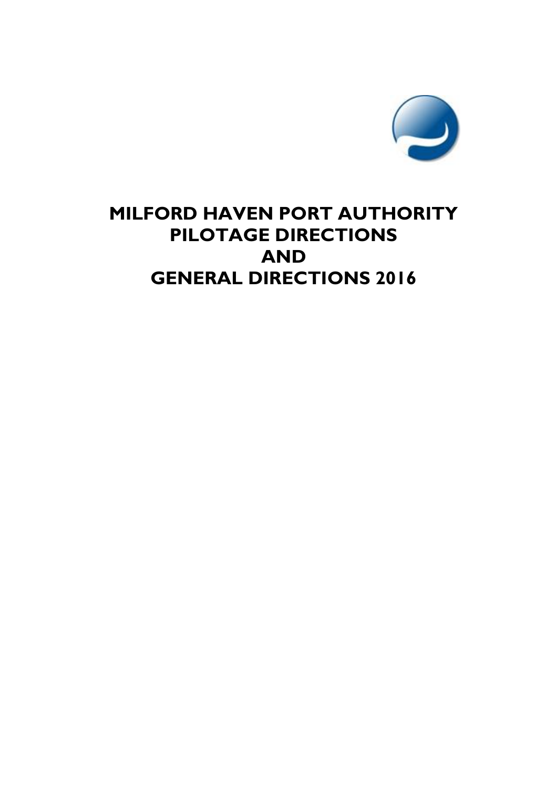

# **MILFORD HAVEN PORT AUTHORITY PILOTAGE DIRECTIONS AND GENERAL DIRECTIONS 2016**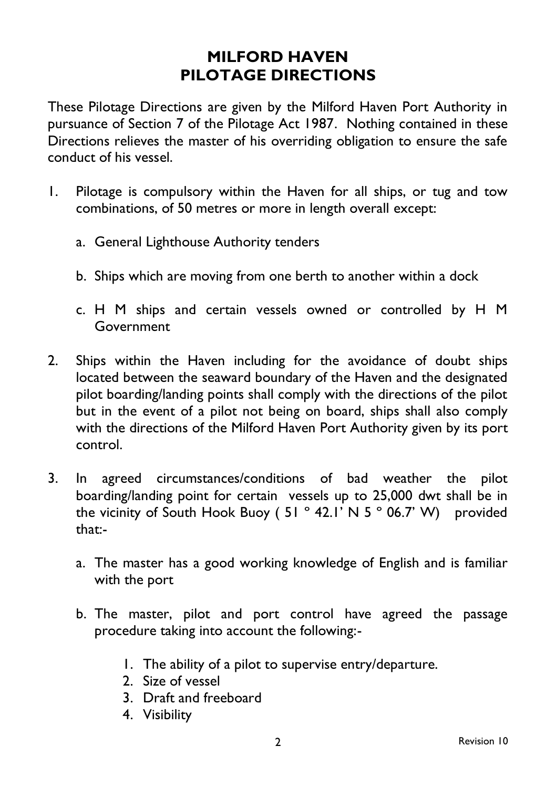# **MILFORD HAVEN PILOTAGE DIRECTIONS**

These Pilotage Directions are given by the Milford Haven Port Authority in pursuance of Section 7 of the Pilotage Act 1987. Nothing contained in these Directions relieves the master of his overriding obligation to ensure the safe conduct of his vessel.

- 1. Pilotage is compulsory within the Haven for all ships, or tug and tow combinations, of 50 metres or more in length overall except:
	- a. General Lighthouse Authority tenders
	- b. Ships which are moving from one berth to another within a dock
	- c. H M ships and certain vessels owned or controlled by H M Government
- 2. Ships within the Haven including for the avoidance of doubt ships located between the seaward boundary of the Haven and the designated pilot boarding/landing points shall comply with the directions of the pilot but in the event of a pilot not being on board, ships shall also comply with the directions of the Milford Haven Port Authority given by its port control.
- 3. In agreed circumstances/conditions of bad weather the pilot boarding/landing point for certain vessels up to 25,000 dwt shall be in the vicinity of South Hook Buoy (51  $^{\circ}$  42.1' N 5  $^{\circ}$  06.7' W) provided that:
	- a. The master has a good working knowledge of English and is familiar with the port
	- b. The master, pilot and port control have agreed the passage procedure taking into account the following:-
		- 1. The ability of a pilot to supervise entry/departure.
		- 2. Size of vessel
		- 3. Draft and freeboard
		- 4. Visibility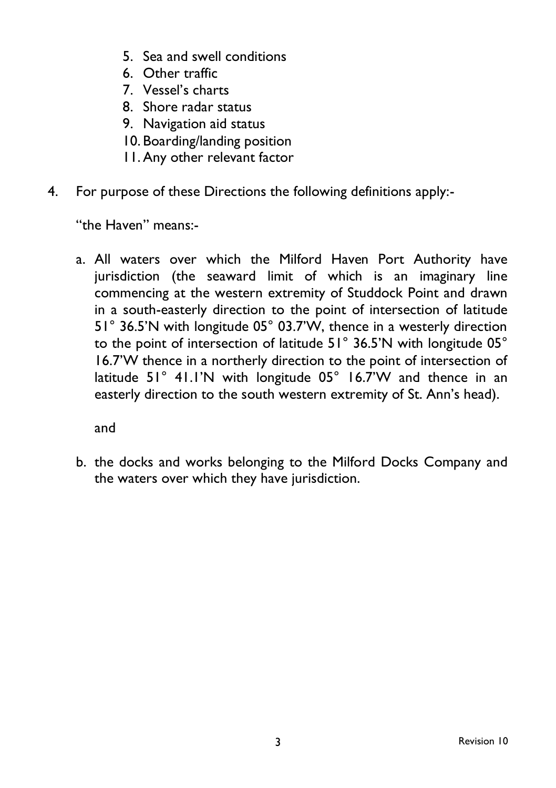- 5. Sea and swell conditions
- 6. Other traffic
- 7. Vessel's charts
- 8. Shore radar status
- 9. Navigation aid status
- 10. Boarding/landing position
- 11.Any other relevant factor
- 4. For purpose of these Directions the following definitions apply:-

"the Haven" means:-

a. All waters over which the Milford Haven Port Authority have jurisdiction (the seaward limit of which is an imaginary line commencing at the western extremity of Studdock Point and drawn in a south-easterly direction to the point of intersection of latitude 51° 36.5'N with longitude 05° 03.7'W, thence in a westerly direction to the point of intersection of latitude 51° 36.5'N with longitude 05° 16.7'W thence in a northerly direction to the point of intersection of latitude 51° 41.1'N with longitude 05° 16.7'W and thence in an easterly direction to the south western extremity of St. Ann's head).

and

b. the docks and works belonging to the Milford Docks Company and the waters over which they have jurisdiction.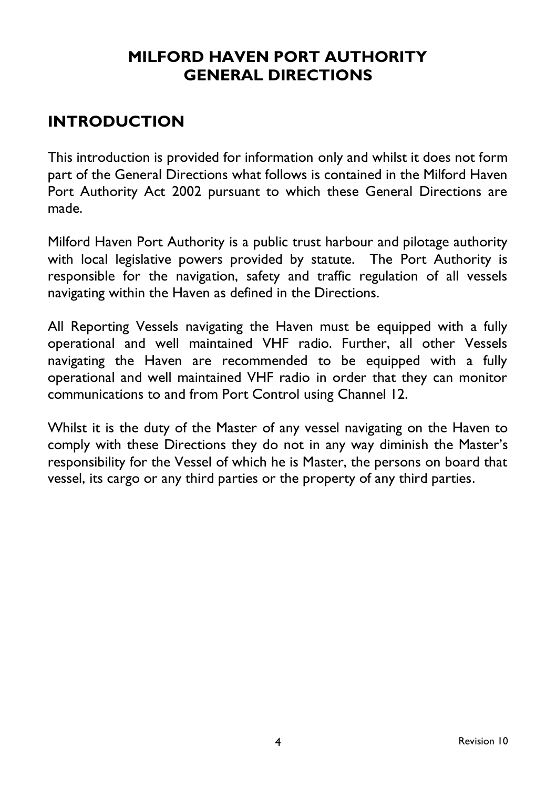# **MILFORD HAVEN PORT AUTHORITY GENERAL DIRECTIONS**

# **INTRODUCTION**

This introduction is provided for information only and whilst it does not form part of the General Directions what follows is contained in the Milford Haven Port Authority Act 2002 pursuant to which these General Directions are made.

Milford Haven Port Authority is a public trust harbour and pilotage authority with local legislative powers provided by statute. The Port Authority is responsible for the navigation, safety and traffic regulation of all vessels navigating within the Haven as defined in the Directions.

All Reporting Vessels navigating the Haven must be equipped with a fully operational and well maintained VHF radio. Further, all other Vessels navigating the Haven are recommended to be equipped with a fully operational and well maintained VHF radio in order that they can monitor communications to and from Port Control using Channel 12.

Whilst it is the duty of the Master of any vessel navigating on the Haven to comply with these Directions they do not in any way diminish the Master's responsibility for the Vessel of which he is Master, the persons on board that vessel, its cargo or any third parties or the property of any third parties.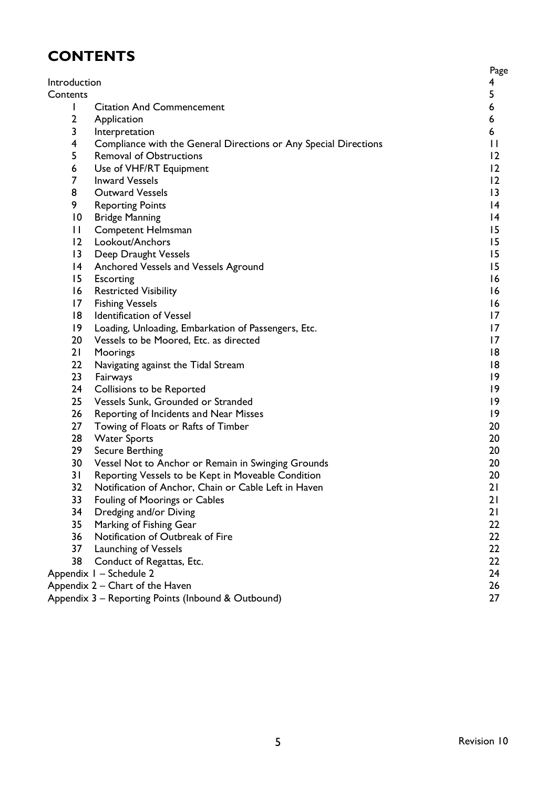# **CONTENTS**

| Introduction    |                                                                  | Page<br>4       |
|-----------------|------------------------------------------------------------------|-----------------|
| Contents        |                                                                  | 5               |
| L               | <b>Citation And Commencement</b>                                 | 6               |
| $\overline{2}$  | Application                                                      | 6               |
| 3               | Interpretation                                                   | 6               |
| 4               | Compliance with the General Directions or Any Special Directions | П               |
| 5               | <b>Removal of Obstructions</b>                                   | 12              |
| 6               | Use of VHF/RT Equipment                                          | 12              |
| $\overline{7}$  | <b>Inward Vessels</b>                                            | 12              |
| 8               | <b>Outward Vessels</b>                                           | 13              |
| 9               | <b>Reporting Points</b>                                          | $\overline{14}$ |
| 10              | <b>Bridge Manning</b>                                            | $\overline{14}$ |
| П               | Competent Helmsman                                               | 15              |
| 12 <sup>2</sup> | Lookout/Anchors                                                  | 15              |
| 13              | Deep Draught Vessels                                             | 15              |
| 14              | Anchored Vessels and Vessels Aground                             | 15              |
| 15              | Escorting                                                        | 16              |
| 16              | <b>Restricted Visibility</b>                                     | 16              |
| 17              | <b>Fishing Vessels</b>                                           | 16              |
| 18              | Identification of Vessel                                         | 17              |
| 19.             | Loading, Unloading, Embarkation of Passengers, Etc.              | 17              |
| 20              | Vessels to be Moored, Etc. as directed                           | 17              |
| 21              | Moorings                                                         | 18              |
| 22              | Navigating against the Tidal Stream                              | 18              |
| 23              | Fairways                                                         | 19              |
| 24              | Collisions to be Reported                                        | 19              |
| 25              | Vessels Sunk, Grounded or Stranded                               | 19              |
| 26              | Reporting of Incidents and Near Misses                           | 9               |
| 27              | Towing of Floats or Rafts of Timber                              | 20              |
| 28              | <b>Water Sports</b>                                              | 20              |
| 29              | Secure Berthing                                                  | 20              |
| 30              | Vessel Not to Anchor or Remain in Swinging Grounds               | 20              |
| 31              | Reporting Vessels to be Kept in Moveable Condition               | 20              |
| 32 <sub>2</sub> | Notification of Anchor, Chain or Cable Left in Haven             | 21              |
| 33              | Fouling of Moorings or Cables                                    | 21              |
| 34              | Dredging and/or Diving                                           | 21              |
| 35              | Marking of Fishing Gear                                          | 22              |
| 36              | Notification of Outbreak of Fire                                 | 22              |
| 37              | Launching of Vessels                                             | 22              |
| 38              | Conduct of Regattas, Etc.                                        | 22.             |
|                 | Appendix I - Schedule 2                                          | 24              |
|                 | Appendix 2 – Chart of the Haven                                  | 26              |
|                 | Appendix 3 - Reporting Points (Inbound & Outbound)               | 27              |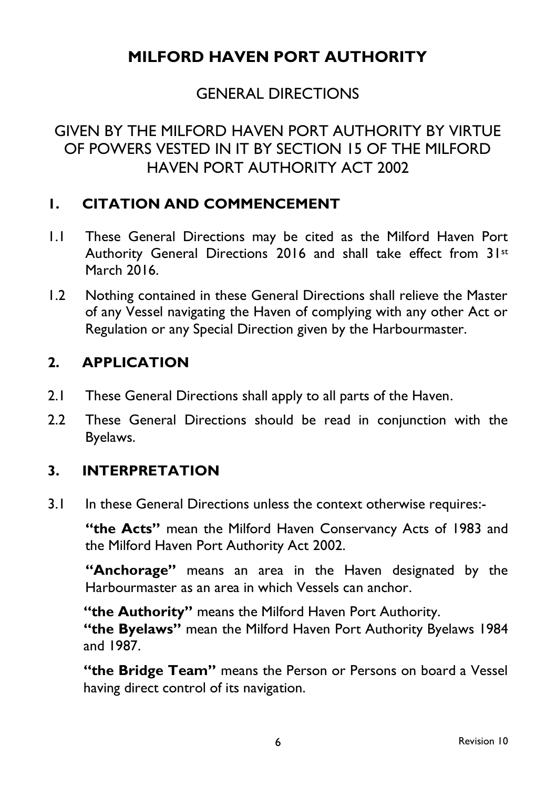# **MILFORD HAVEN PORT AUTHORITY**

# GENERAL DIRECTIONS

# GIVEN BY THE MILFORD HAVEN PORT AUTHORITY BY VIRTUE OF POWERS VESTED IN IT BY SECTION 15 OF THE MILFORD HAVEN PORT AUTHORITY ACT 2002

#### **1. CITATION AND COMMENCEMENT**

- 1.1 These General Directions may be cited as the Milford Haven Port Authority General Directions 2016 and shall take effect from 31st March 2016.
- 1.2 Nothing contained in these General Directions shall relieve the Master of any Vessel navigating the Haven of complying with any other Act or Regulation or any Special Direction given by the Harbourmaster.

#### **2. APPLICATION**

- 2.1 These General Directions shall apply to all parts of the Haven.
- 2.2 These General Directions should be read in conjunction with the Byelaws.

#### **3. INTERPRETATION**

3.1 In these General Directions unless the context otherwise requires:-

**"the Acts"** mean the Milford Haven Conservancy Acts of 1983 and the Milford Haven Port Authority Act 2002.

**"Anchorage"** means an area in the Haven designated by the Harbourmaster as an area in which Vessels can anchor.

**"the Authority"** means the Milford Haven Port Authority. **"the Byelaws"** mean the Milford Haven Port Authority Byelaws 1984 and 1987.

**"the Bridge Team"** means the Person or Persons on board a Vessel having direct control of its navigation.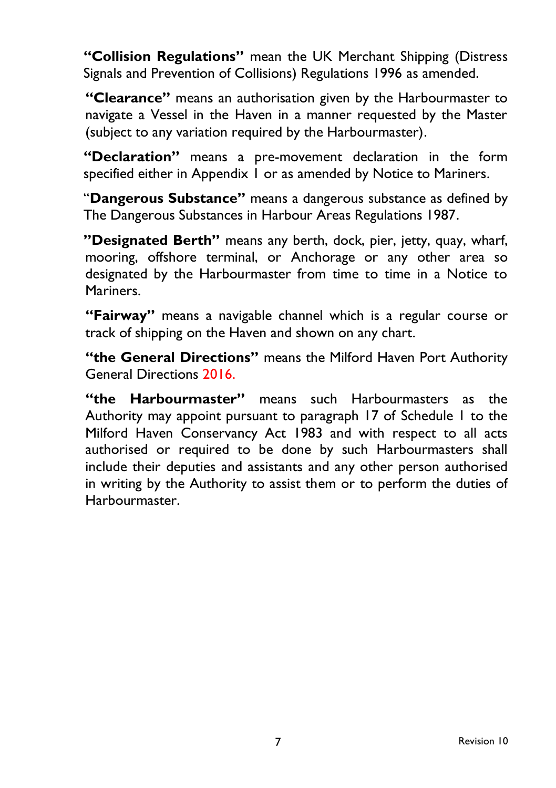**"Collision Regulations"** mean the UK Merchant Shipping (Distress Signals and Prevention of Collisions) Regulations 1996 as amended.

**"Clearance"** means an authorisation given by the Harbourmaster to navigate a Vessel in the Haven in a manner requested by the Master (subject to any variation required by the Harbourmaster).

**"Declaration"** means a pre-movement declaration in the form specified either in Appendix 1 or as amended by Notice to Mariners.

"**Dangerous Substance"** means a dangerous substance as defined by The Dangerous Substances in Harbour Areas Regulations 1987.

**"Designated Berth"** means any berth, dock, pier, jetty, quay, wharf, mooring, offshore terminal, or Anchorage or any other area so designated by the Harbourmaster from time to time in a Notice to Mariners.

**"Fairway"** means a navigable channel which is a regular course or track of shipping on the Haven and shown on any chart.

**"the General Directions"** means the Milford Haven Port Authority General Directions 2016.

**"the Harbourmaster"** means such Harbourmasters as the Authority may appoint pursuant to paragraph 17 of Schedule 1 to the Milford Haven Conservancy Act 1983 and with respect to all acts authorised or required to be done by such Harbourmasters shall include their deputies and assistants and any other person authorised in writing by the Authority to assist them or to perform the duties of Harbourmaster.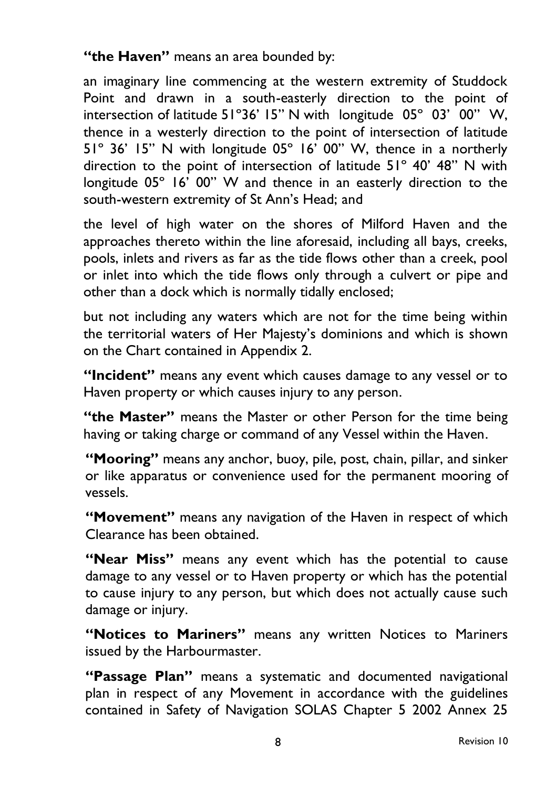**"the Haven"** means an area bounded by:

an imaginary line commencing at the western extremity of Studdock Point and drawn in a south-easterly direction to the point of intersection of latitude 51º36' 15" N with longitude 05º 03' 00" W, thence in a westerly direction to the point of intersection of latitude 51º 36' 15" N with longitude 05º 16' 00" W, thence in a northerly direction to the point of intersection of latitude 51º 40' 48" N with longitude 05° 16' 00" W and thence in an easterly direction to the south-western extremity of St Ann's Head; and

the level of high water on the shores of Milford Haven and the approaches thereto within the line aforesaid, including all bays, creeks, pools, inlets and rivers as far as the tide flows other than a creek, pool or inlet into which the tide flows only through a culvert or pipe and other than a dock which is normally tidally enclosed;

but not including any waters which are not for the time being within the territorial waters of Her Majesty's dominions and which is shown on the Chart contained in Appendix 2.

**"Incident"** means any event which causes damage to any vessel or to Haven property or which causes injury to any person.

**"the Master"** means the Master or other Person for the time being having or taking charge or command of any Vessel within the Haven.

**"Mooring"** means any anchor, buoy, pile, post, chain, pillar, and sinker or like apparatus or convenience used for the permanent mooring of vessels.

**"Movement"** means any navigation of the Haven in respect of which Clearance has been obtained.

**"Near Miss"** means any event which has the potential to cause damage to any vessel or to Haven property or which has the potential to cause injury to any person, but which does not actually cause such damage or injury.

**"Notices to Mariners"** means any written Notices to Mariners issued by the Harbourmaster.

**"Passage Plan"** means a systematic and documented navigational plan in respect of any Movement in accordance with the guidelines contained in Safety of Navigation SOLAS Chapter 5 2002 Annex 25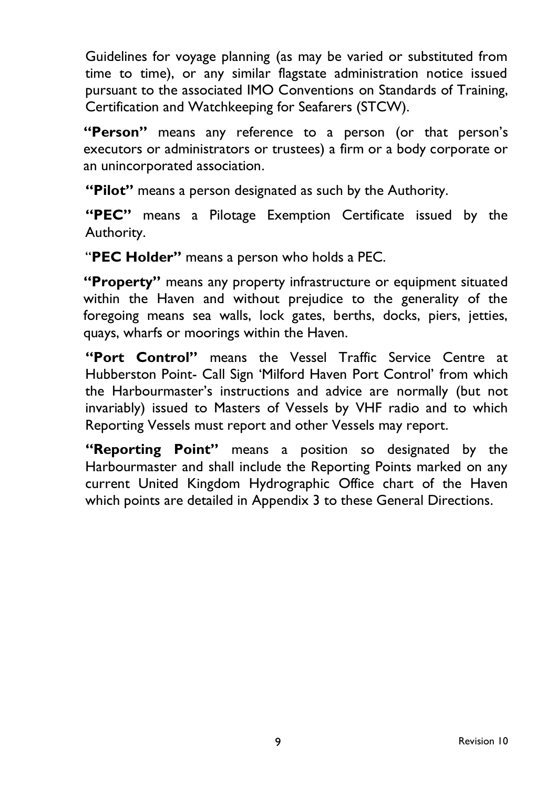Guidelines for voyage planning (as may be varied or substituted from time to time), or any similar flagstate administration notice issued pursuant to the associated IMO Conventions on Standards of Training, Certification and Watchkeeping for Seafarers (STCW).

**"Person"** means any reference to a person (or that person's executors or administrators or trustees) a firm or a body corporate or an unincorporated association.

**"Pilot"** means a person designated as such by the Authority.

**"PEC"** means a Pilotage Exemption Certificate issued by the Authority.

"**PEC Holder"** means a person who holds a PEC.

**"Property"** means any property infrastructure or equipment situated within the Haven and without prejudice to the generality of the foregoing means sea walls, lock gates, berths, docks, piers, jetties, quays, wharfs or moorings within the Haven.

**"Port Control"** means the Vessel Traffic Service Centre at Hubberston Point- Call Sign 'Milford Haven Port Control' from which the Harbourmaster's instructions and advice are normally (but not invariably) issued to Masters of Vessels by VHF radio and to which Reporting Vessels must report and other Vessels may report.

**"Reporting Point"** means a position so designated by the Harbourmaster and shall include the Reporting Points marked on any current United Kingdom Hydrographic Office chart of the Haven which points are detailed in Appendix 3 to these General Directions.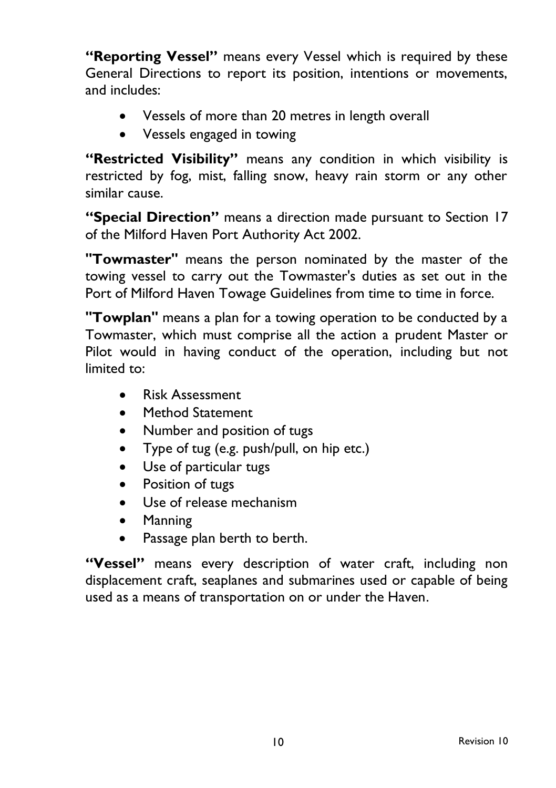**"Reporting Vessel"** means every Vessel which is required by these General Directions to report its position, intentions or movements, and includes:

- Vessels of more than 20 metres in length overall
- Vessels engaged in towing

**"Restricted Visibility"** means any condition in which visibility is restricted by fog, mist, falling snow, heavy rain storm or any other similar cause.

**"Special Direction"** means a direction made pursuant to Section 17 of the Milford Haven Port Authority Act 2002.

**"Towmaster"** means the person nominated by the master of the towing vessel to carry out the Towmaster's duties as set out in the Port of Milford Haven Towage Guidelines from time to time in force.

**"Towplan"** means a plan for a towing operation to be conducted by a Towmaster, which must comprise all the action a prudent Master or Pilot would in having conduct of the operation, including but not limited to:

- Risk Assessment
- Method Statement
- Number and position of tugs
- Type of tug (e.g. push/pull, on hip etc.)
- Use of particular tugs
- Position of tugs
- Use of release mechanism
- Manning
- Passage plan berth to berth.

**"Vessel"** means every description of water craft, including non displacement craft, seaplanes and submarines used or capable of being used as a means of transportation on or under the Haven.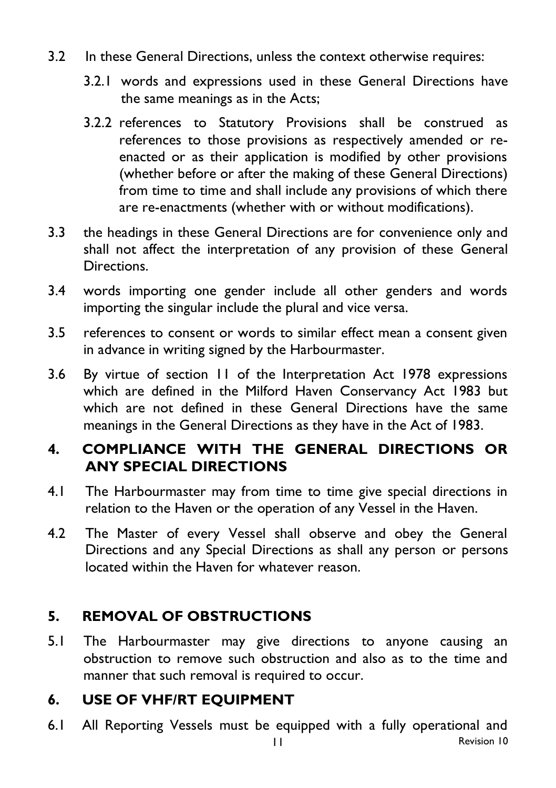- 3.2 In these General Directions, unless the context otherwise requires:
	- 3.2.1 words and expressions used in these General Directions have the same meanings as in the Acts;
	- 3.2.2 references to Statutory Provisions shall be construed as references to those provisions as respectively amended or reenacted or as their application is modified by other provisions (whether before or after the making of these General Directions) from time to time and shall include any provisions of which there are re-enactments (whether with or without modifications).
- 3.3 the headings in these General Directions are for convenience only and shall not affect the interpretation of any provision of these General Directions.
- 3.4 words importing one gender include all other genders and words importing the singular include the plural and vice versa.
- 3.5 references to consent or words to similar effect mean a consent given in advance in writing signed by the Harbourmaster.
- 3.6 By virtue of section 11 of the Interpretation Act 1978 expressions which are defined in the Milford Haven Conservancy Act 1983 but which are not defined in these General Directions have the same meanings in the General Directions as they have in the Act of 1983.

## **4. COMPLIANCE WITH THE GENERAL DIRECTIONS OR ANY SPECIAL DIRECTIONS**

- 4.1 The Harbourmaster may from time to time give special directions in relation to the Haven or the operation of any Vessel in the Haven.
- 4.2 The Master of every Vessel shall observe and obey the General Directions and any Special Directions as shall any person or persons located within the Haven for whatever reason.

## **5. REMOVAL OF OBSTRUCTIONS**

5.1 The Harbourmaster may give directions to anyone causing an obstruction to remove such obstruction and also as to the time and manner that such removal is required to occur.

## **6. USE OF VHF/RT EQUIPMENT**

6.1 All Reporting Vessels must be equipped with a fully operational and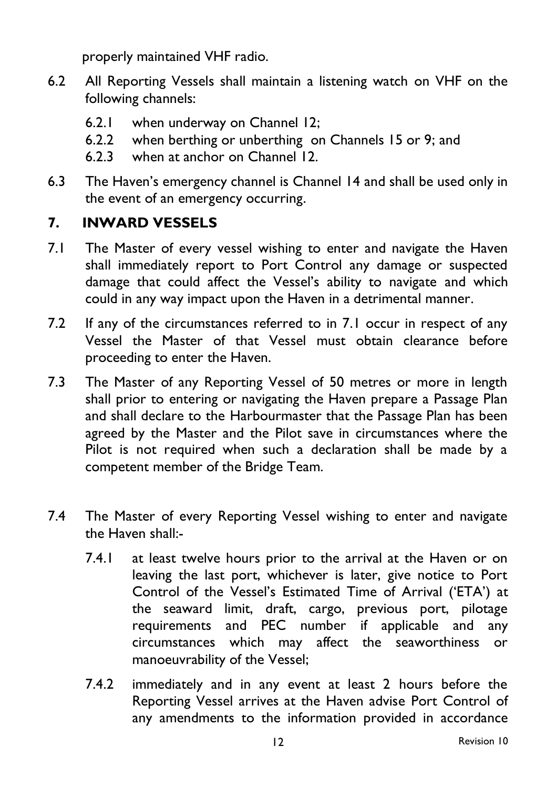properly maintained VHF radio.

- 6.2 All Reporting Vessels shall maintain a listening watch on VHF on the following channels:
	- 6.2.1 when underway on Channel 12;
	- 6.2.2 when berthing or unberthing on Channels 15 or 9; and
	- 6.2.3 when at anchor on Channel 12.
- 6.3 The Haven's emergency channel is Channel 14 and shall be used only in the event of an emergency occurring.

## **7. INWARD VESSELS**

- 7.1 The Master of every vessel wishing to enter and navigate the Haven shall immediately report to Port Control any damage or suspected damage that could affect the Vessel's ability to navigate and which could in any way impact upon the Haven in a detrimental manner.
- 7.2 If any of the circumstances referred to in 7.1 occur in respect of any Vessel the Master of that Vessel must obtain clearance before proceeding to enter the Haven.
- 7.3 The Master of any Reporting Vessel of 50 metres or more in length shall prior to entering or navigating the Haven prepare a Passage Plan and shall declare to the Harbourmaster that the Passage Plan has been agreed by the Master and the Pilot save in circumstances where the Pilot is not required when such a declaration shall be made by a competent member of the Bridge Team.
- 7.4 The Master of every Reporting Vessel wishing to enter and navigate the Haven shall:-
	- 7.4.1 at least twelve hours prior to the arrival at the Haven or on leaving the last port, whichever is later, give notice to Port Control of the Vessel's Estimated Time of Arrival ('ETA') at the seaward limit, draft, cargo, previous port, pilotage requirements and PEC number if applicable and any circumstances which may affect the seaworthiness or manoeuvrability of the Vessel;
	- 7.4.2 immediately and in any event at least 2 hours before the Reporting Vessel arrives at the Haven advise Port Control of any amendments to the information provided in accordance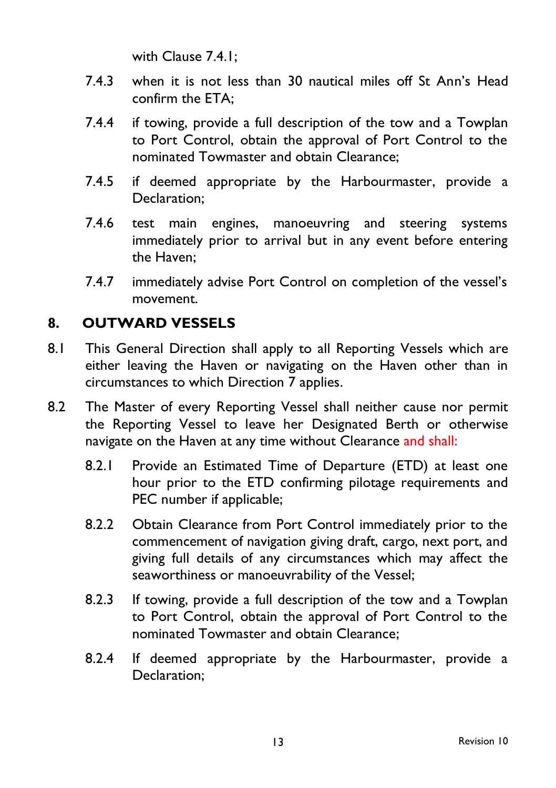with Clause 7.4.1;

- 7.4.3 when it is not less than 30 nautical miles off St Ann's Head confirm the ETA;
- 7.4.4 if towing, provide a full description of the tow and a Towplan to Port Control, obtain the approval of Port Control to the nominated Towmaster and obtain Clearance;
- 7.4.5 if deemed appropriate by the Harbourmaster, provide a Declaration;
- 7.4.6 test main engines, manoeuvring and steering systems immediately prior to arrival but in any event before entering the Haven;
- 7.4.7 immediately advise Port Control on completion of the vessel's movement.

# **8. OUTWARD VESSELS**

- 8.1 This General Direction shall apply to all Reporting Vessels which are either leaving the Haven or navigating on the Haven other than in circumstances to which Direction 7 applies.
- 8.2 The Master of every Reporting Vessel shall neither cause nor permit the Reporting Vessel to leave her Designated Berth or otherwise navigate on the Haven at any time without Clearance and shall:
	- 8.2.1 Provide an Estimated Time of Departure (ETD) at least one hour prior to the ETD confirming pilotage requirements and PEC number if applicable;
	- 8.2.2 Obtain Clearance from Port Control immediately prior to the commencement of navigation giving draft, cargo, next port, and giving full details of any circumstances which may affect the seaworthiness or manoeuvrability of the Vessel;
	- 8.2.3 If towing, provide a full description of the tow and a Towplan to Port Control, obtain the approval of Port Control to the nominated Towmaster and obtain Clearance;
	- 8.2.4 If deemed appropriate by the Harbourmaster, provide a Declaration;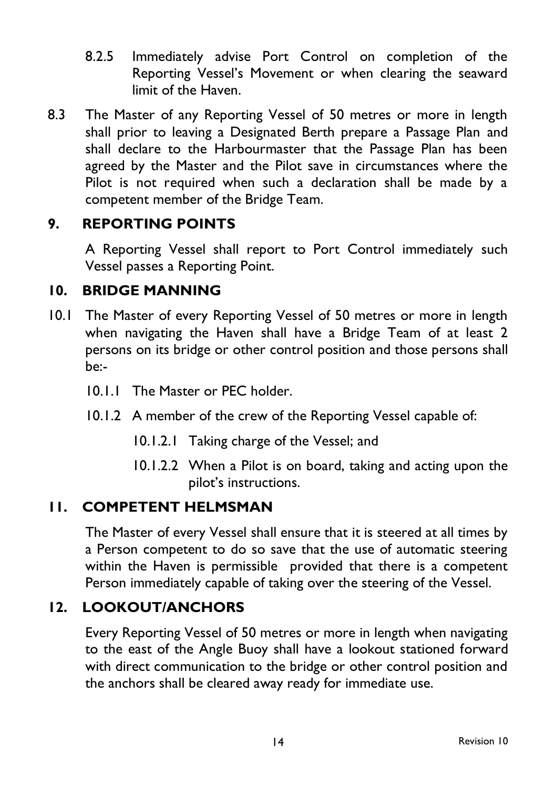- 8.2.5 Immediately advise Port Control on completion of the Reporting Vessel's Movement or when clearing the seaward limit of the Haven.
- 8.3 The Master of any Reporting Vessel of 50 metres or more in length shall prior to leaving a Designated Berth prepare a Passage Plan and shall declare to the Harbourmaster that the Passage Plan has been agreed by the Master and the Pilot save in circumstances where the Pilot is not required when such a declaration shall be made by a competent member of the Bridge Team.

#### **9. REPORTING POINTS**

A Reporting Vessel shall report to Port Control immediately such Vessel passes a Reporting Point.

## **10. BRIDGE MANNING**

- 10.1 The Master of every Reporting Vessel of 50 metres or more in length when navigating the Haven shall have a Bridge Team of at least 2 persons on its bridge or other control position and those persons shall be:-
	- 10.1.1 The Master or PEC holder.
	- 10.1.2 A member of the crew of the Reporting Vessel capable of:
		- 10.1.2.1 Taking charge of the Vessel; and
		- 10.1.2.2 When a Pilot is on board, taking and acting upon the pilot's instructions.

#### **11. COMPETENT HELMSMAN**

The Master of every Vessel shall ensure that it is steered at all times by a Person competent to do so save that the use of automatic steering within the Haven is permissible provided that there is a competent Person immediately capable of taking over the steering of the Vessel.

#### **12. LOOKOUT/ANCHORS**

Every Reporting Vessel of 50 metres or more in length when navigating to the east of the Angle Buoy shall have a lookout stationed forward with direct communication to the bridge or other control position and the anchors shall be cleared away ready for immediate use.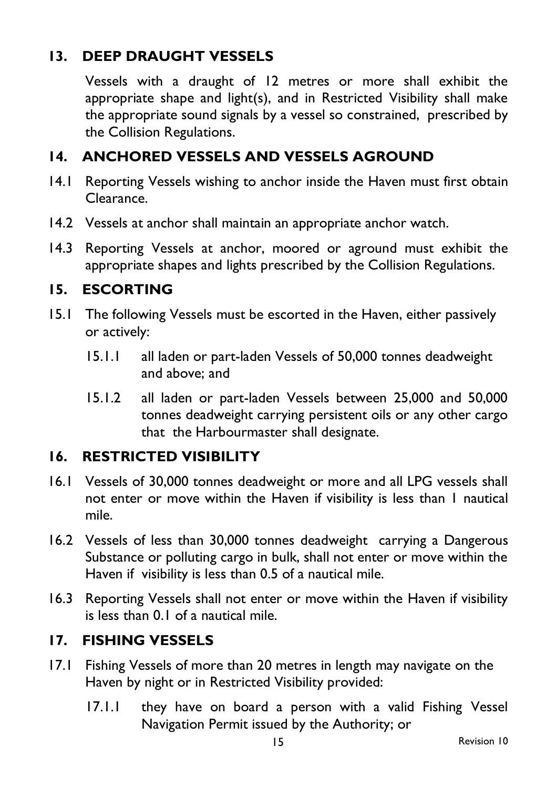## **13. DEEP DRAUGHT VESSELS**

Vessels with a draught of 12 metres or more shall exhibit the appropriate shape and light(s), and in Restricted Visibility shall make the appropriate sound signals by a vessel so constrained, prescribed by the Collision Regulations.

#### **14. ANCHORED VESSELS AND VESSELS AGROUND**

- 14.1 Reporting Vessels wishing to anchor inside the Haven must first obtain Clearance.
- 14.2 Vessels at anchor shall maintain an appropriate anchor watch.
- 14.3 Reporting Vessels at anchor, moored or aground must exhibit the appropriate shapes and lights prescribed by the Collision Regulations.

#### **15. ESCORTING**

- 15.1 The following Vessels must be escorted in the Haven, either passively or actively:
	- 15.1.1 all laden or part-laden Vessels of 50,000 tonnes deadweight and above; and
	- 15.1.2 all laden or part-laden Vessels between 25,000 and 50,000 tonnes deadweight carrying persistent oils or any other cargo that the Harbourmaster shall designate.

#### **16. RESTRICTED VISIBILITY**

- 16.1 Vessels of 30,000 tonnes deadweight or more and all LPG vessels shall not enter or move within the Haven if visibility is less than 1 nautical mile.
- 16.2 Vessels of less than 30,000 tonnes deadweight carrying a Dangerous Substance or polluting cargo in bulk, shall not enter or move within the Haven if visibility is less than 0.5 of a nautical mile.
- 16.3 Reporting Vessels shall not enter or move within the Haven if visibility is less than 0.1 of a nautical mile.

#### **17. FISHING VESSELS**

- 17.1 Fishing Vessels of more than 20 metres in length may navigate on the Haven by night or in Restricted Visibility provided:
	- 17.1.1 they have on board a person with a valid Fishing Vessel Navigation Permit issued by the Authority; or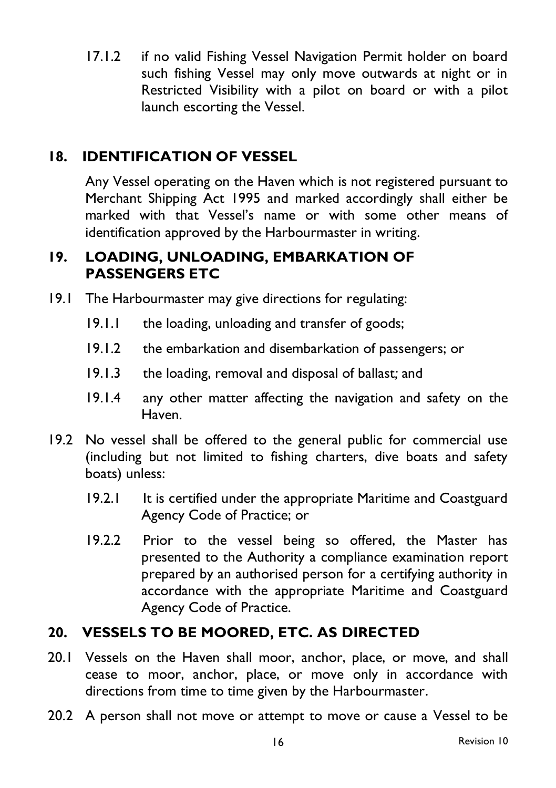17.1.2 if no valid Fishing Vessel Navigation Permit holder on board such fishing Vessel may only move outwards at night or in Restricted Visibility with a pilot on board or with a pilot launch escorting the Vessel.

## **18. IDENTIFICATION OF VESSEL**

Any Vessel operating on the Haven which is not registered pursuant to Merchant Shipping Act 1995 and marked accordingly shall either be marked with that Vessel's name or with some other means of identification approved by the Harbourmaster in writing.

#### **19. LOADING, UNLOADING, EMBARKATION OF PASSENGERS ETC**

- 19.1 The Harbourmaster may give directions for regulating:
	- 19.1.1 the loading, unloading and transfer of goods;
	- 19.1.2 the embarkation and disembarkation of passengers; or
	- 19.1.3 the loading, removal and disposal of ballast*;* and
	- 19.1.4 any other matter affecting the navigation and safety on the Haven.
- 19.2 No vessel shall be offered to the general public for commercial use (including but not limited to fishing charters, dive boats and safety boats) unless:
	- 19.2.1 It is certified under the appropriate Maritime and Coastguard Agency Code of Practice; or
	- 19.2.2 Prior to the vessel being so offered, the Master has presented to the Authority a compliance examination report prepared by an authorised person for a certifying authority in accordance with the appropriate Maritime and Coastguard Agency Code of Practice.

#### **20. VESSELS TO BE MOORED, ETC. AS DIRECTED**

- 20.1 Vessels on the Haven shall moor, anchor, place, or move, and shall cease to moor, anchor, place, or move only in accordance with directions from time to time given by the Harbourmaster.
- 20.2 A person shall not move or attempt to move or cause a Vessel to be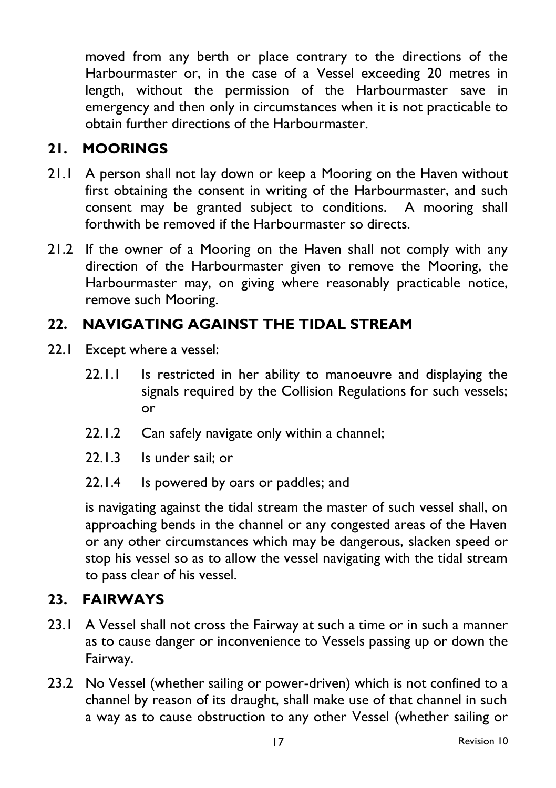moved from any berth or place contrary to the directions of the Harbourmaster or, in the case of a Vessel exceeding 20 metres in length, without the permission of the Harbourmaster save in emergency and then only in circumstances when it is not practicable to obtain further directions of the Harbourmaster.

## **21. MOORINGS**

- 21.1 A person shall not lay down or keep a Mooring on the Haven without first obtaining the consent in writing of the Harbourmaster, and such consent may be granted subject to conditions. A mooring shall forthwith be removed if the Harbourmaster so directs.
- 21.2 If the owner of a Mooring on the Haven shall not comply with any direction of the Harbourmaster given to remove the Mooring, the Harbourmaster may, on giving where reasonably practicable notice, remove such Mooring.

# **22. NAVIGATING AGAINST THE TIDAL STREAM**

- 22.1 Except where a vessel:
	- 22.1.1 Is restricted in her ability to manoeuvre and displaying the signals required by the Collision Regulations for such vessels; or
	- 22.1.2 Can safely navigate only within a channel;
	- 22.1.3 Is under sail; or
	- 22.1.4 Is powered by oars or paddles; and

is navigating against the tidal stream the master of such vessel shall, on approaching bends in the channel or any congested areas of the Haven or any other circumstances which may be dangerous, slacken speed or stop his vessel so as to allow the vessel navigating with the tidal stream to pass clear of his vessel.

#### **23. FAIRWAYS**

- 23.1 A Vessel shall not cross the Fairway at such a time or in such a manner as to cause danger or inconvenience to Vessels passing up or down the Fairway.
- 23.2 No Vessel (whether sailing or power-driven) which is not confined to a channel by reason of its draught, shall make use of that channel in such a way as to cause obstruction to any other Vessel (whether sailing or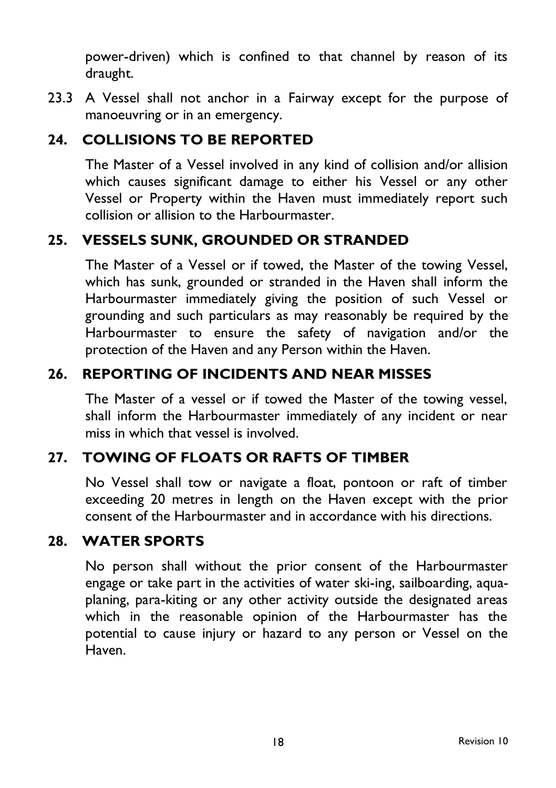power-driven) which is confined to that channel by reason of its draught.

23.3 A Vessel shall not anchor in a Fairway except for the purpose of manoeuvring or in an emergency.

#### **24. COLLISIONS TO BE REPORTED**

The Master of a Vessel involved in any kind of collision and/or allision which causes significant damage to either his Vessel or any other Vessel or Property within the Haven must immediately report such collision or allision to the Harbourmaster.

#### **25. VESSELS SUNK, GROUNDED OR STRANDED**

The Master of a Vessel or if towed, the Master of the towing Vessel, which has sunk, grounded or stranded in the Haven shall inform the Harbourmaster immediately giving the position of such Vessel or grounding and such particulars as may reasonably be required by the Harbourmaster to ensure the safety of navigation and/or the protection of the Haven and any Person within the Haven.

#### **26. REPORTING OF INCIDENTS AND NEAR MISSES**

The Master of a vessel or if towed the Master of the towing vessel, shall inform the Harbourmaster immediately of any incident or near miss in which that vessel is involved.

#### **27. TOWING OF FLOATS OR RAFTS OF TIMBER**

No Vessel shall tow or navigate a float, pontoon or raft of timber exceeding 20 metres in length on the Haven except with the prior consent of the Harbourmaster and in accordance with his directions.

#### **28. WATER SPORTS**

No person shall without the prior consent of the Harbourmaster engage or take part in the activities of water ski-ing, sailboarding, aquaplaning, para-kiting or any other activity outside the designated areas which in the reasonable opinion of the Harbourmaster has the potential to cause injury or hazard to any person or Vessel on the Haven.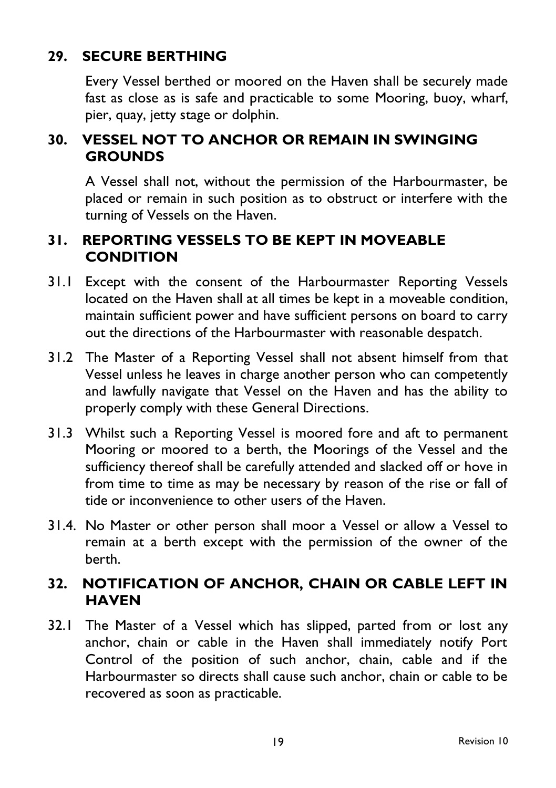## **29. SECURE BERTHING**

Every Vessel berthed or moored on the Haven shall be securely made fast as close as is safe and practicable to some Mooring, buoy, wharf, pier, quay, jetty stage or dolphin.

#### **30. VESSEL NOT TO ANCHOR OR REMAIN IN SWINGING GROUNDS**

A Vessel shall not, without the permission of the Harbourmaster, be placed or remain in such position as to obstruct or interfere with the turning of Vessels on the Haven.

#### **31. REPORTING VESSELS TO BE KEPT IN MOVEABLE CONDITION**

- 31.1 Except with the consent of the Harbourmaster Reporting Vessels located on the Haven shall at all times be kept in a moveable condition, maintain sufficient power and have sufficient persons on board to carry out the directions of the Harbourmaster with reasonable despatch.
- 31.2 The Master of a Reporting Vessel shall not absent himself from that Vessel unless he leaves in charge another person who can competently and lawfully navigate that Vessel on the Haven and has the ability to properly comply with these General Directions.
- 31.3 Whilst such a Reporting Vessel is moored fore and aft to permanent Mooring or moored to a berth, the Moorings of the Vessel and the sufficiency thereof shall be carefully attended and slacked off or hove in from time to time as may be necessary by reason of the rise or fall of tide or inconvenience to other users of the Haven.
- 31.4. No Master or other person shall moor a Vessel or allow a Vessel to remain at a berth except with the permission of the owner of the berth.

#### **32. NOTIFICATION OF ANCHOR, CHAIN OR CABLE LEFT IN HAVEN**

32.1 The Master of a Vessel which has slipped, parted from or lost any anchor, chain or cable in the Haven shall immediately notify Port Control of the position of such anchor, chain, cable and if the Harbourmaster so directs shall cause such anchor, chain or cable to be recovered as soon as practicable.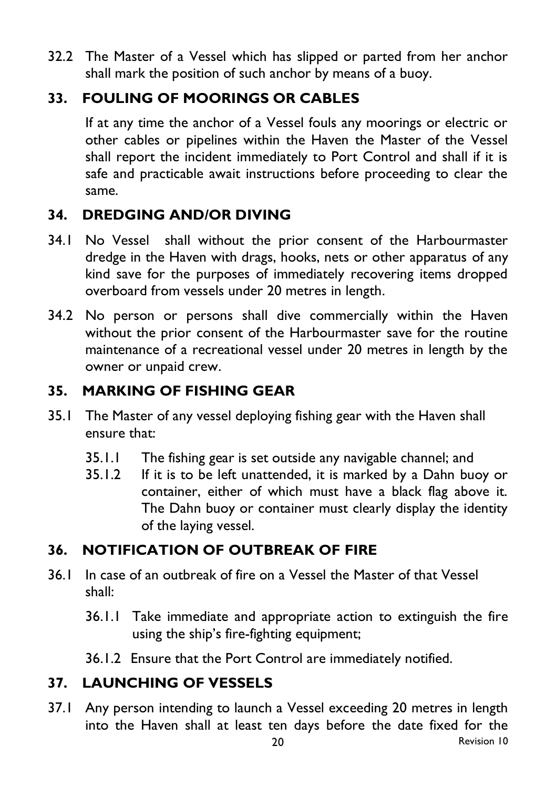32.2 The Master of a Vessel which has slipped or parted from her anchor shall mark the position of such anchor by means of a buoy.

## **33. FOULING OF MOORINGS OR CABLES**

If at any time the anchor of a Vessel fouls any moorings or electric or other cables or pipelines within the Haven the Master of the Vessel shall report the incident immediately to Port Control and shall if it is safe and practicable await instructions before proceeding to clear the same.

# **34. DREDGING AND/OR DIVING**

- 34.1 No Vessel shall without the prior consent of the Harbourmaster dredge in the Haven with drags, hooks, nets or other apparatus of any kind save for the purposes of immediately recovering items dropped overboard from vessels under 20 metres in length.
- 34.2 No person or persons shall dive commercially within the Haven without the prior consent of the Harbourmaster save for the routine maintenance of a recreational vessel under 20 metres in length by the owner or unpaid crew.

## **35. MARKING OF FISHING GEAR**

- 35.1 The Master of any vessel deploying fishing gear with the Haven shall ensure that:
	- 35.1.1 The fishing gear is set outside any navigable channel; and
	- 35.1.2 If it is to be left unattended, it is marked by a Dahn buoy or container, either of which must have a black flag above it. The Dahn buoy or container must clearly display the identity of the laying vessel.

## **36. NOTIFICATION OF OUTBREAK OF FIRE**

- 36.1 In case of an outbreak of fire on a Vessel the Master of that Vessel shall:
	- 36.1.1 Take immediate and appropriate action to extinguish the fire using the ship's fire-fighting equipment;
	- 36.1.2 Ensure that the Port Control are immediately notified.

# **37. LAUNCHING OF VESSELS**

37.1 Any person intending to launch a Vessel exceeding 20 metres in length into the Haven shall at least ten days before the date fixed for the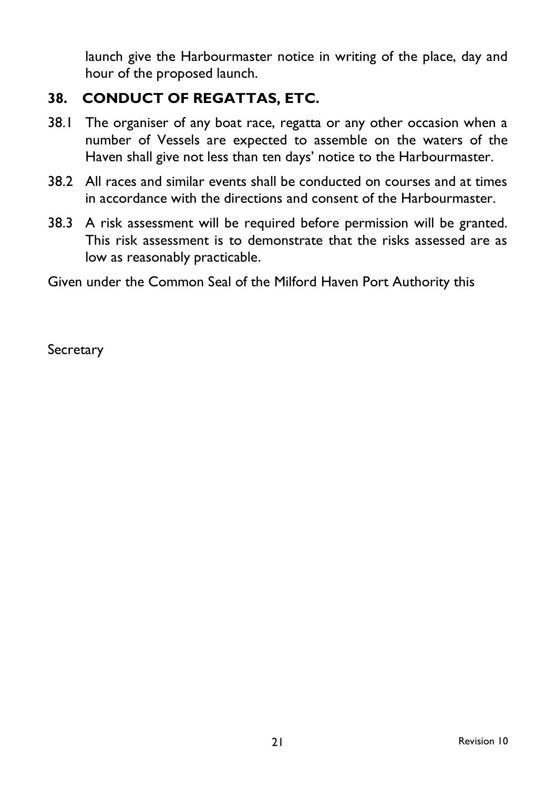launch give the Harbourmaster notice in writing of the place, day and hour of the proposed launch.

## **38. CONDUCT OF REGATTAS, ETC.**

- 38.1 The organiser of any boat race, regatta or any other occasion when a number of Vessels are expected to assemble on the waters of the Haven shall give not less than ten days' notice to the Harbourmaster.
- 38.2 All races and similar events shall be conducted on courses and at times in accordance with the directions and consent of the Harbourmaster.
- 38.3 A risk assessment will be required before permission will be granted. This risk assessment is to demonstrate that the risks assessed are as low as reasonably practicable.

Given under the Common Seal of the Milford Haven Port Authority this

**Secretary**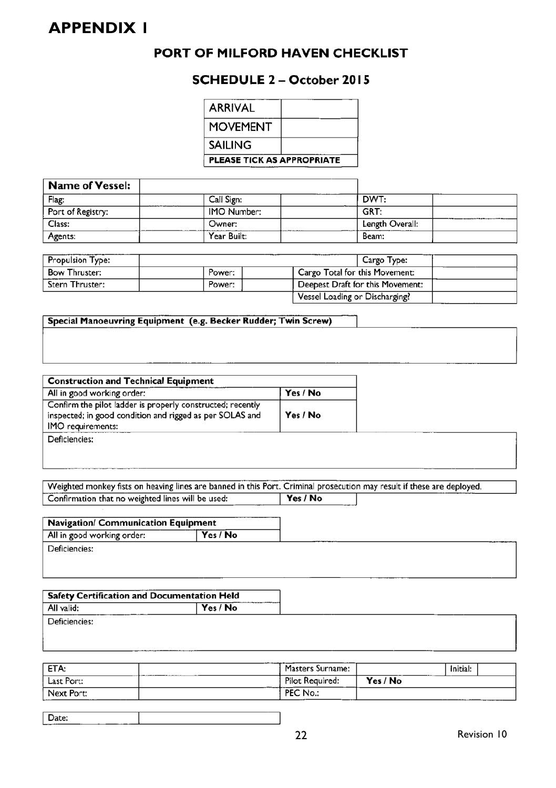## **APPENDIX 1**

#### PORT OF MILFORD HAVEN CHECKLIST

#### **SCHEDULE 2 - October 2015**

| <b>ARRIVAL</b>             |  |  |
|----------------------------|--|--|
| MOVEMENT                   |  |  |
| SAILING                    |  |  |
| PLEASE TICK AS APPROPRIATE |  |  |

| Name of Vessel:   |             |                 |
|-------------------|-------------|-----------------|
| Flag:             | Call Sign:  | DWT:            |
| Port of Registry: | IMO Number: | GRT:            |
| Class:            | Owner:      | Length Overall: |
| Agents:           | Year Built: | Beam:           |

| <b>Propulsion Type:</b> |        |                                  | Cargo Type: |  |
|-------------------------|--------|----------------------------------|-------------|--|
| <b>Bow Thruster:</b>    | Power: | Cargo Total for this Movement:   |             |  |
| Stern Thruster:         | Power: | Deepest Draft for this Movement: |             |  |
|                         |        | Vessel Loading or Discharging?   |             |  |

#### Special Manoeuvring Equipment (e.g. Becker Rudder; Twin Screw)

| <b>Construction and Technical Equipment</b>                                                                                                 |          |  |  |  |
|---------------------------------------------------------------------------------------------------------------------------------------------|----------|--|--|--|
| All in good working order:                                                                                                                  | Yes / No |  |  |  |
| Confirm the pilot ladder is properly constructed; recently<br>inspected; in good condition and rigged as per SOLAS and<br>IMO requirements: | Yes / No |  |  |  |
| Deficiencies:                                                                                                                               |          |  |  |  |

Weighted monkey fists on heaving lines are banned in this Port. Criminal prosecution may result if these are deployed.

| Confirmation that no weighted lines will be used: | Yes / No |
|---------------------------------------------------|----------|
|                                                   |          |
| <br>.<br>____<br>.                                |          |

| Navigation/ Communication Equipment |          |  |
|-------------------------------------|----------|--|
| All in good working order:          | Yes / No |  |
| Deficiencies:                       |          |  |

| $\mid$ Safety Certification and Documentation Held |          |
|----------------------------------------------------|----------|
| All valid:                                         | Yes / No |
| Deficiencies:                                      |          |

| ETA:                     | Masters Surname:                  |          | Initial: |
|--------------------------|-----------------------------------|----------|----------|
| Last Port:               | Pilot Required:                   | Yes / No |          |
| Next Port:<br>.<br>----- | No.:<br>DC<br>EC.<br>___<br>_____ |          | ________ |

|--|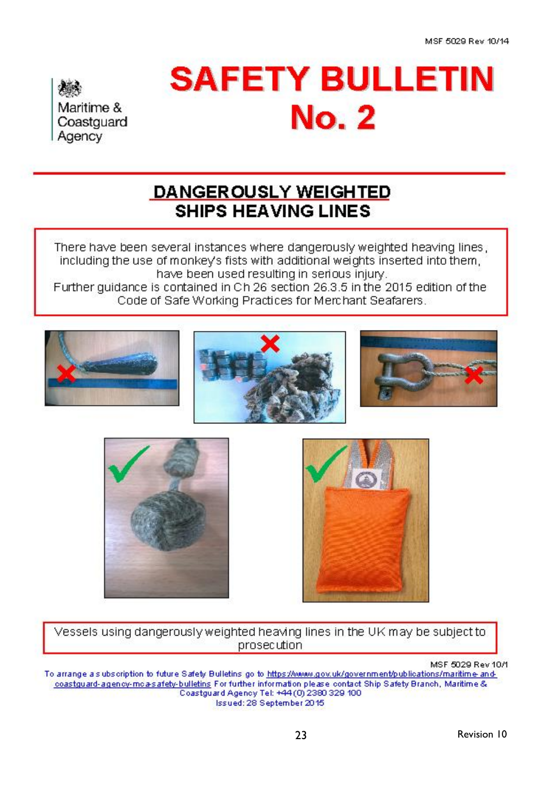Maritime & Coastguard Agency

# **SAFETY BULLETIN No. 2**

# **DANGEROUSLY WEIGHTED SHIPS HEAVING LINES**

There have been several instances where dangerously weighted heaving lines. including the use of monkey's fists with additional weights inserted into them. have been used resulting in serious injury. Further quidance is contained in Ch 26 section 26.3.5 in the 2015 edition of the Code of Safe Working Practices for Merchant Seafarers.







Vessels using dangerously weighted heaving lines in the UK may be subject to prosecution

MSF 5029 Rev 10/1 To arrange als ubscription to future Safety Bulletins go to https://www.gov.uk/government/publications/maritime-andcoastguard-agency-moa-safety-bulletins For further information please contact Ship Safety Branch, Maritime & Coastguard Agency Tel: +44(0) 2380 329 100 Issued: 28 September 2015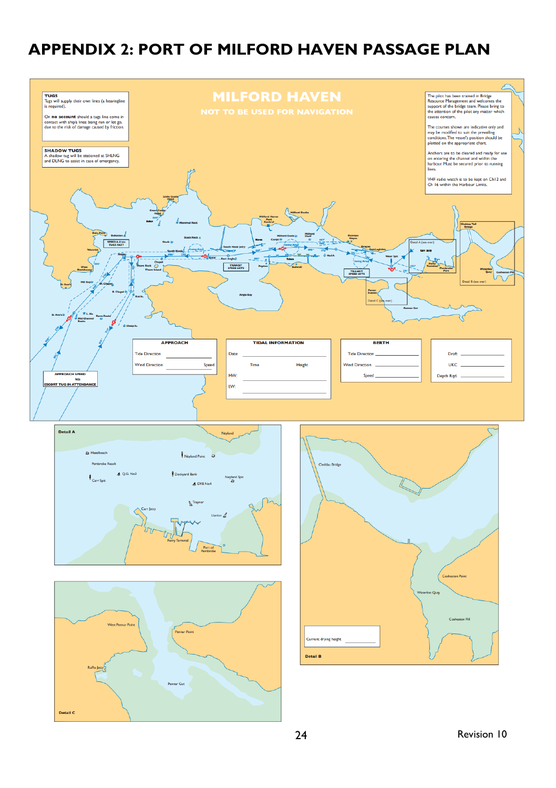# **APPENDIX 2: PORT OF MILFORD HAVEN PASSAGE PLAN**

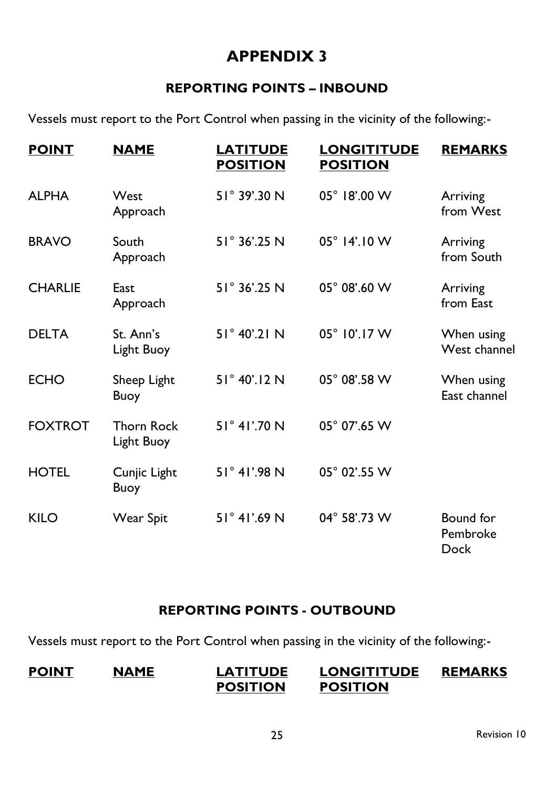# **APPENDIX 3**

#### **REPORTING POINTS – INBOUND**

Vessels must report to the Port Control when passing in the vicinity of the following:-

| <b>POINT</b>   | <b>NAME</b>                     | <b>LATITUDE</b><br><b>POSITION</b> | <b>LONGITITUDE</b><br><b>POSITION</b> | <b>REMARKS</b>                |
|----------------|---------------------------------|------------------------------------|---------------------------------------|-------------------------------|
| <b>ALPHA</b>   | West<br>Approach                | $51^{\circ}$ 39'.30 N              | 05° 18'.00 W                          | Arriving<br>from West         |
| <b>BRAVO</b>   | South<br>Approach               | 51° 36'.25 N                       | $05^{\circ}$ 14'.10 W                 | Arriving<br>from South        |
| <b>CHARLIE</b> | East<br>Approach                | 51° 36'.25 N                       | $05^{\circ}$ 08'.60 W                 | Arriving<br>from East         |
| <b>DELTA</b>   | St. Ann's<br>Light Buoy         | 51° 40'.21 N                       | 05° 10'.17 W                          | When using<br>West channel    |
| <b>ECHO</b>    | Sheep Light<br>Buoy             | 51° 40'.12 N                       | 05° 08'.58 W                          | When using<br>East channel    |
| <b>FOXTROT</b> | <b>Thorn Rock</b><br>Light Buoy | $51^{\circ}$ 41'.70 N              | 05° 07'.65 W                          |                               |
| <b>HOTEL</b>   | Cunjic Light<br>Buoy            | 51° 41'.98 N                       | 05° 02'.55 W                          |                               |
| KILO           | Wear Spit                       | 51° 41'.69 N                       | 04° 58'.73 W                          | Bound for<br>Pembroke<br>Dock |

#### **REPORTING POINTS - OUTBOUND**

Vessels must report to the Port Control when passing in the vicinity of the following:-

#### **POINT NAME LATITUDE LONGITITUDE REMARKS POSITION POSITION**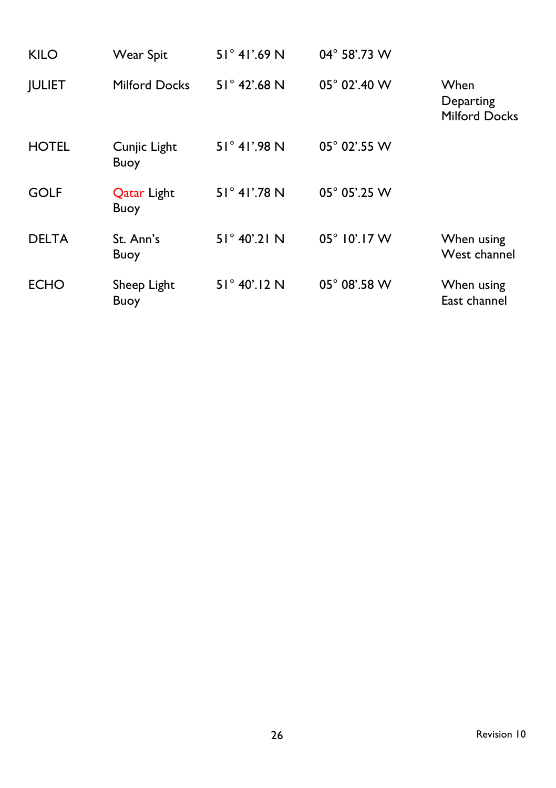| <b>KILO</b>   | <b>Wear Spit</b>                  | $51^{\circ}$ 41'.69 N | 04° 58'.73 W          |                                           |
|---------------|-----------------------------------|-----------------------|-----------------------|-------------------------------------------|
| <b>JULIET</b> | <b>Milford Docks</b>              | $51^{\circ}$ 42'.68 N | 05° 02'.40 W          | When<br>Departing<br><b>Milford Docks</b> |
| <b>HOTEL</b>  | Cunjic Light<br>Buoy              | 51° 41'.98 N          | 05° 02'.55 W          |                                           |
| <b>GOLF</b>   | <b>Qatar Light</b><br><b>Buoy</b> | 51° 41'.78 N          | 05° 05'.25 W          |                                           |
| <b>DELTA</b>  | St. Ann's<br><b>Buoy</b>          | $51^{\circ}$ 40'.21 N | $05^{\circ}$ 10'.17 W | When using<br>West channel                |
| <b>ECHO</b>   | Sheep Light<br>Buoy               | $51^{\circ}$ 40'.12 N | 05° 08'.58 W          | When using<br>East channel                |